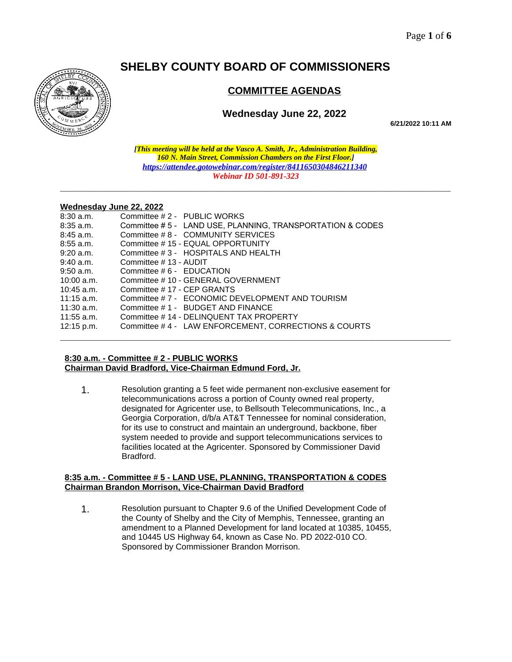# **SHELBY COUNTY BOARD OF COMMISSIONERS**



# **COMMITTEE AGENDAS**

# **Wednesday June 22, 2022**

**6/21/2022 10:11 AM**

*[This meeting will be held at the Vasco A. Smith, Jr., Administration Building, 160 N. Main Street, Commission Chambers on the First Floor.] <https://attendee.gotowebinar.com/register/8411650304846211340> Webinar ID 501-891-323*

**\_\_\_\_\_\_\_\_\_\_\_\_\_\_\_\_\_\_\_\_\_\_\_\_\_\_\_\_\_\_\_\_\_\_\_\_\_\_\_\_\_\_\_\_\_\_\_\_\_\_\_\_\_\_\_\_\_\_\_\_\_\_\_\_\_\_\_\_\_\_**

#### **Wednesday June 22, 2022**

| $8:30$ a.m.  | Committee #2 - PUBLIC WORKS                                |  |
|--------------|------------------------------------------------------------|--|
| $8:35$ a.m.  | Committee # 5 - LAND USE, PLANNING, TRANSPORTATION & CODES |  |
| $8:45$ a.m.  | Committee #8 - COMMUNITY SERVICES                          |  |
| $8:55$ a.m.  | Committee #15 - EQUAL OPPORTUNITY                          |  |
| $9:20$ a.m.  | Committee # 3 - HOSPITALS AND HEALTH                       |  |
| $9:40$ a.m.  | Committee #13 - AUDIT                                      |  |
| $9:50$ a.m.  | Committee $\#$ 6 - EDUCATION                               |  |
| $10:00$ a.m. | Committee # 10 - GENERAL GOVERNMENT                        |  |
| $10:45$ a.m. | Committee #17 - CEP GRANTS                                 |  |
| $11:15$ a.m. | Committee #7 - ECONOMIC DEVELOPMENT AND TOURISM            |  |
| $11:30$ a.m. | Committee #1 - BUDGET AND FINANCE                          |  |
| $11:55$ a.m. | Committee #14 - DELINQUENT TAX PROPERTY                    |  |
| $12:15$ p.m. | Committee #4 - LAW ENFORCEMENT, CORRECTIONS & COURTS       |  |
|              |                                                            |  |

# **8:30 a.m. - Committee # 2 - PUBLIC WORKS Chairman David Bradford, Vice-Chairman Edmund Ford, Jr.**

1. Resolution granting a 5 feet wide permanent non-exclusive easement for telecommunications across a portion of County owned real property, designated for Agricenter use, to Bellsouth Telecommunications, Inc., a Georgia Corporation, d/b/a AT&T Tennessee for nominal consideration, for its use to construct and maintain an underground, backbone, fiber system needed to provide and support telecommunications services to facilities located at the Agricenter. Sponsored by Commissioner David Bradford.

#### **8:35 a.m. - Committee # 5 - LAND USE, PLANNING, TRANSPORTATION & CODES Chairman Brandon Morrison, Vice-Chairman David Bradford**

1. Resolution pursuant to Chapter 9.6 of the Unified Development Code of the County of Shelby and the City of Memphis, Tennessee, granting an amendment to a Planned Development for land located at 10385, 10455, and 10445 US Highway 64, known as Case No. PD 2022-010 CO. Sponsored by Commissioner Brandon Morrison.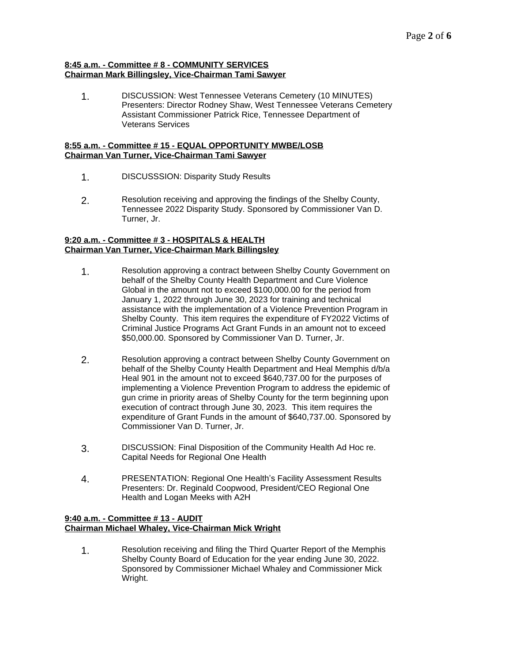#### **8:45 a.m. - Committee # 8 - COMMUNITY SERVICES Chairman Mark Billingsley, Vice-Chairman Tami Sawyer**

1. DISCUSSION: West Tennessee Veterans Cemetery (10 MINUTES) Presenters: Director Rodney Shaw, West Tennessee Veterans Cemetery Assistant Commissioner Patrick Rice, Tennessee Department of Veterans Services

# **8:55 a.m. - Committee # 15 - EQUAL OPPORTUNITY MWBE/LOSB Chairman Van Turner, Vice-Chairman Tami Sawyer**

- 1. DISCUSSSION: Disparity Study Results
- 2. Resolution receiving and approving the findings of the Shelby County, Tennessee 2022 Disparity Study. Sponsored by Commissioner Van D. Turner, Jr.

# **9:20 a.m. - Committee # 3 - HOSPITALS & HEALTH Chairman Van Turner, Vice-Chairman Mark Billingsley**

- 1. Resolution approving a contract between Shelby County Government on behalf of the Shelby County Health Department and Cure Violence Global in the amount not to exceed \$100,000.00 for the period from January 1, 2022 through June 30, 2023 for training and technical assistance with the implementation of a Violence Prevention Program in Shelby County. This item requires the expenditure of FY2022 Victims of Criminal Justice Programs Act Grant Funds in an amount not to exceed \$50,000.00. Sponsored by Commissioner Van D. Turner, Jr.
- 2. Resolution approving a contract between Shelby County Government on behalf of the Shelby County Health Department and Heal Memphis d/b/a Heal 901 in the amount not to exceed \$640,737.00 for the purposes of implementing a Violence Prevention Program to address the epidemic of gun crime in priority areas of Shelby County for the term beginning upon execution of contract through June 30, 2023. This item requires the expenditure of Grant Funds in the amount of \$640,737.00. Sponsored by Commissioner Van D. Turner, Jr.
- 3. DISCUSSION: Final Disposition of the Community Health Ad Hoc re. Capital Needs for Regional One Health
- 4. PRESENTATION: Regional One Health's Facility Assessment Results Presenters: Dr. Reginald Coopwood, President/CEO Regional One Health and Logan Meeks with A2H

# **9:40 a.m. - Committee # 13 - AUDIT Chairman Michael Whaley, Vice-Chairman Mick Wright**

1. Resolution receiving and filing the Third Quarter Report of the Memphis Shelby County Board of Education for the year ending June 30, 2022. Sponsored by Commissioner Michael Whaley and Commissioner Mick Wright.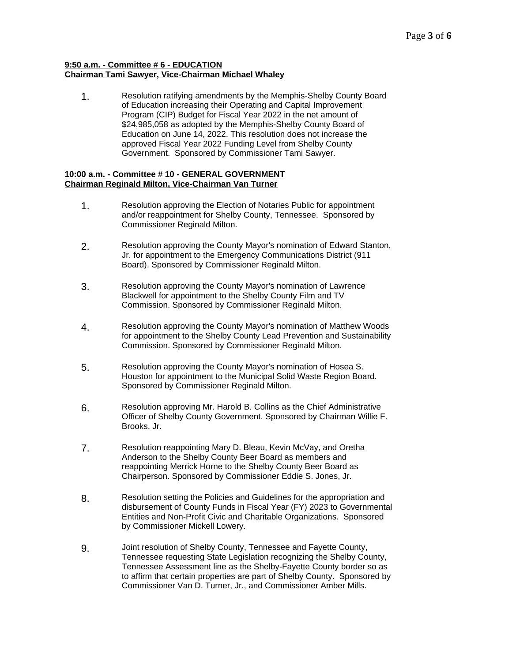#### **9:50 a.m. - Committee # 6 - EDUCATION Chairman Tami Sawyer, Vice-Chairman Michael Whaley**

1. Resolution ratifying amendments by the Memphis-Shelby County Board of Education increasing their Operating and Capital Improvement Program (CIP) Budget for Fiscal Year 2022 in the net amount of \$24,985,058 as adopted by the Memphis-Shelby County Board of Education on June 14, 2022. This resolution does not increase the approved Fiscal Year 2022 Funding Level from Shelby County Government. Sponsored by Commissioner Tami Sawyer.

# **10:00 a.m. - Committee # 10 - GENERAL GOVERNMENT Chairman Reginald Milton, Vice-Chairman Van Turner**

- 1. Resolution approving the Election of Notaries Public for appointment and/or reappointment for Shelby County, Tennessee. Sponsored by Commissioner Reginald Milton.
- 2. Resolution approving the County Mayor's nomination of Edward Stanton, Jr. for appointment to the Emergency Communications District (911 Board). Sponsored by Commissioner Reginald Milton.
- 3. Resolution approving the County Mayor's nomination of Lawrence Blackwell for appointment to the Shelby County Film and TV Commission. Sponsored by Commissioner Reginald Milton.
- 4. Resolution approving the County Mayor's nomination of Matthew Woods for appointment to the Shelby County Lead Prevention and Sustainability Commission. Sponsored by Commissioner Reginald Milton.
- 5. Resolution approving the County Mayor's nomination of Hosea S. Houston for appointment to the Municipal Solid Waste Region Board. Sponsored by Commissioner Reginald Milton.
- 6. Resolution approving Mr. Harold B. Collins as the Chief Administrative Officer of Shelby County Government. Sponsored by Chairman Willie F. Brooks, Jr.
- 7. Resolution reappointing Mary D. Bleau, Kevin McVay, and Oretha Anderson to the Shelby County Beer Board as members and reappointing Merrick Horne to the Shelby County Beer Board as Chairperson. Sponsored by Commissioner Eddie S. Jones, Jr.
- 8. Resolution setting the Policies and Guidelines for the appropriation and disbursement of County Funds in Fiscal Year (FY) 2023 to Governmental Entities and Non-Profit Civic and Charitable Organizations. Sponsored by Commissioner Mickell Lowery.
- 9. Joint resolution of Shelby County, Tennessee and Fayette County, Tennessee requesting State Legislation recognizing the Shelby County, Tennessee Assessment line as the Shelby-Fayette County border so as to affirm that certain properties are part of Shelby County. Sponsored by Commissioner Van D. Turner, Jr., and Commissioner Amber Mills.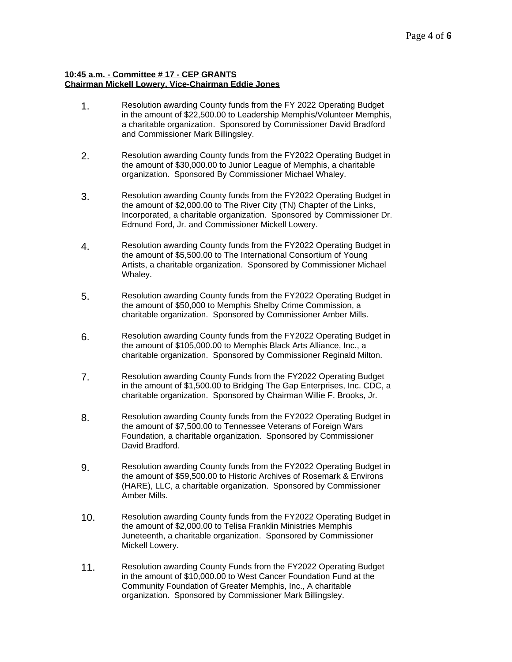# **10:45 a.m. - Committee # 17 - CEP GRANTS Chairman Mickell Lowery, Vice-Chairman Eddie Jones**

- 1. Resolution awarding County funds from the FY 2022 Operating Budget in the amount of \$22,500.00 to Leadership Memphis/Volunteer Memphis, a charitable organization. Sponsored by Commissioner David Bradford and Commissioner Mark Billingsley.
- 2. Resolution awarding County funds from the FY2022 Operating Budget in the amount of \$30,000.00 to Junior League of Memphis, a charitable organization. Sponsored By Commissioner Michael Whaley.
- 3. Resolution awarding County funds from the FY2022 Operating Budget in the amount of \$2,000.00 to The River City (TN) Chapter of the Links, Incorporated, a charitable organization. Sponsored by Commissioner Dr. Edmund Ford, Jr. and Commissioner Mickell Lowery.
- 4. Resolution awarding County funds from the FY2022 Operating Budget in the amount of \$5,500.00 to The International Consortium of Young Artists, a charitable organization. Sponsored by Commissioner Michael Whaley.
- 5. Resolution awarding County funds from the FY2022 Operating Budget in the amount of \$50,000 to Memphis Shelby Crime Commission, a charitable organization. Sponsored by Commissioner Amber Mills.
- 6. Resolution awarding County funds from the FY2022 Operating Budget in the amount of \$105,000.00 to Memphis Black Arts Alliance, Inc., a charitable organization. Sponsored by Commissioner Reginald Milton.
- 7. Resolution awarding County Funds from the FY2022 Operating Budget in the amount of \$1,500.00 to Bridging The Gap Enterprises, Inc. CDC, a charitable organization. Sponsored by Chairman Willie F. Brooks, Jr.
- 8. Resolution awarding County funds from the FY2022 Operating Budget in the amount of \$7,500.00 to Tennessee Veterans of Foreign Wars Foundation, a charitable organization. Sponsored by Commissioner David Bradford.
- 9. Resolution awarding County funds from the FY2022 Operating Budget in the amount of \$59,500.00 to Historic Archives of Rosemark & Environs (HARE), LLC, a charitable organization. Sponsored by Commissioner Amber Mills.
- 10. Resolution awarding County funds from the FY2022 Operating Budget in the amount of \$2,000.00 to Telisa Franklin Ministries Memphis Juneteenth, a charitable organization. Sponsored by Commissioner Mickell Lowery.
- 11. Resolution awarding County Funds from the FY2022 Operating Budget in the amount of \$10,000.00 to West Cancer Foundation Fund at the Community Foundation of Greater Memphis, Inc., A charitable organization. Sponsored by Commissioner Mark Billingsley.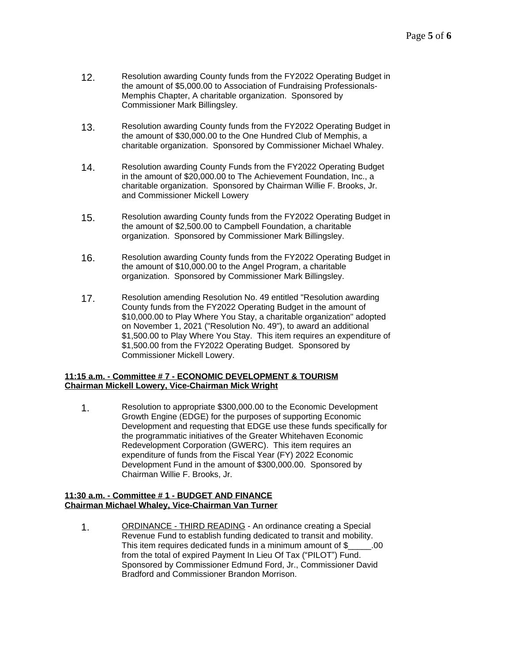- 12. Resolution awarding County funds from the FY2022 Operating Budget in the amount of \$5,000.00 to Association of Fundraising Professionals-Memphis Chapter, A charitable organization. Sponsored by Commissioner Mark Billingsley.
- 13. Resolution awarding County funds from the FY2022 Operating Budget in the amount of \$30,000.00 to the One Hundred Club of Memphis, a charitable organization. Sponsored by Commissioner Michael Whaley.
- 14. Resolution awarding County Funds from the FY2022 Operating Budget in the amount of \$20,000.00 to The Achievement Foundation, Inc., a charitable organization. Sponsored by Chairman Willie F. Brooks, Jr. and Commissioner Mickell Lowery
- 15. Resolution awarding County funds from the FY2022 Operating Budget in the amount of \$2,500.00 to Campbell Foundation, a charitable organization. Sponsored by Commissioner Mark Billingsley.
- 16. Resolution awarding County funds from the FY2022 Operating Budget in the amount of \$10,000.00 to the Angel Program, a charitable organization. Sponsored by Commissioner Mark Billingsley.
- 17. Resolution amending Resolution No. 49 entitled "Resolution awarding County funds from the FY2022 Operating Budget in the amount of \$10,000.00 to Play Where You Stay, a charitable organization" adopted on November 1, 2021 ("Resolution No. 49"), to award an additional \$1,500.00 to Play Where You Stay. This item requires an expenditure of \$1,500.00 from the FY2022 Operating Budget. Sponsored by Commissioner Mickell Lowery.

# **11:15 a.m. - Committee # 7 - ECONOMIC DEVELOPMENT & TOURISM Chairman Mickell Lowery, Vice-Chairman Mick Wright**

1. Resolution to appropriate \$300,000.00 to the Economic Development Growth Engine (EDGE) for the purposes of supporting Economic Development and requesting that EDGE use these funds specifically for the programmatic initiatives of the Greater Whitehaven Economic Redevelopment Corporation (GWERC). This item requires an expenditure of funds from the Fiscal Year (FY) 2022 Economic Development Fund in the amount of \$300,000.00. Sponsored by Chairman Willie F. Brooks, Jr.

#### **11:30 a.m. - Committee # 1 - BUDGET AND FINANCE Chairman Michael Whaley, Vice-Chairman Van Turner**

1. ORDINANCE - THIRD READING - An ordinance creating a Special Revenue Fund to establish funding dedicated to transit and mobility. This item requires dedicated funds in a minimum amount of \$ .00 from the total of expired Payment In Lieu Of Tax ("PILOT") Fund. Sponsored by Commissioner Edmund Ford, Jr., Commissioner David Bradford and Commissioner Brandon Morrison.